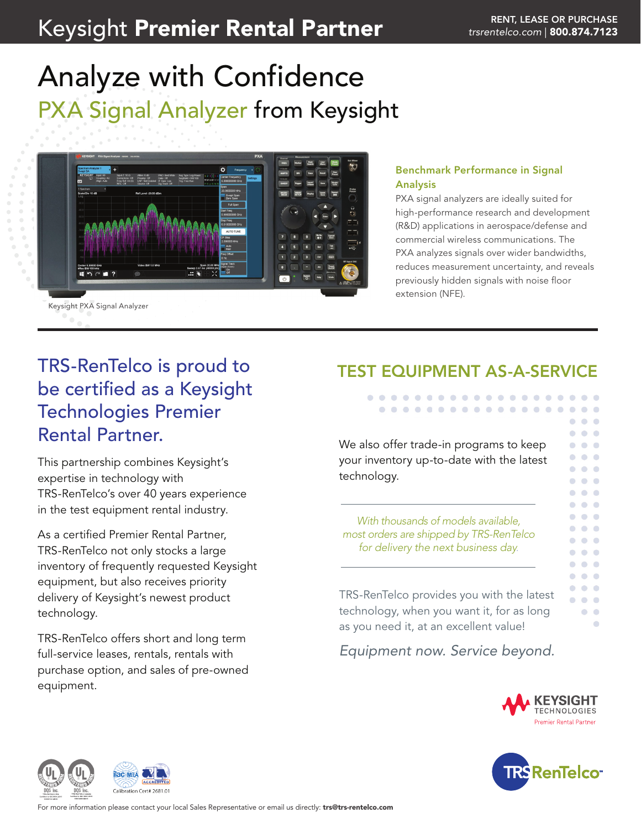# Keysight Premier Rental Partner **Manual Partner Rental Rental Rental Rental Rent** *[trsrentelco.com](http://trsrentelco.com)* | 800.874.7123

# Analyze with Confidence PXA Signal Analyzer from Keysight



### Benchmark Performance in Signal Analysis

PXA signal analyzers are ideally suited for high-performance research and development (R&D) applications in aerospace/defense and commercial wireless communications. The PXA analyzes signals over wider bandwidths, reduces measurement uncertainty, and reveals previously hidden signals with noise floor extension (NFE).

# TRS-RenTelco is proud to be certified as a Keysight Technologies Premier Rental Partner.

This partnership combines Keysight's expertise in technology with TRS-RenTelco's over 40 years experience in the test equipment rental industry.

As a certified Premier Rental Partner, TRS-RenTelco not only stocks a large inventory of frequently requested Keysight equipment, but also receives priority delivery of Keysight's newest product technology.

TRS-RenTelco offers short and long term full-service leases, rentals, rentals with purchase option, and sales of pre-owned equipment.

# TEST EQUIPMENT AS-A-SERVICE

. . . . . . . . . . . . . . . . . . . . . . . . . . . . . . . . . .

We also offer trade-in programs to keep your inventory up-to-date with the latest technology.

*With thousands of models available, most orders are shipped by TRS-RenTelco for delivery the next business day.*

TRS-RenTelco provides you with the latest technology, when you want it, for as long as you need it, at an excellent value!

*Equipment now. Service beyond.*



 $\bullet$   $\bullet$   $\bullet$  $\bullet\hspace{0.1cm} \bullet\hspace{0.1cm} \bullet\hspace{0.1cm} \bullet$ 

> $\bullet$   $\bullet$  $\bigcirc$